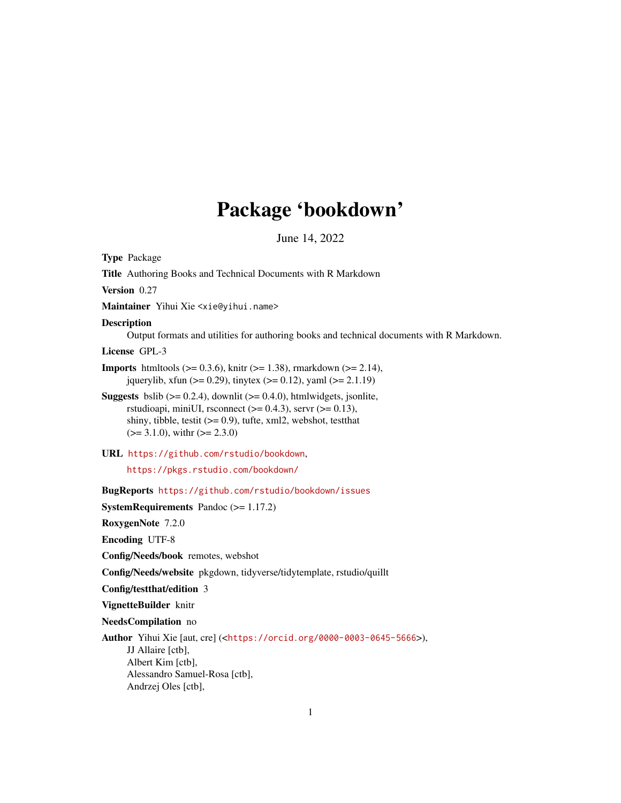# Package 'bookdown'

June 14, 2022

<span id="page-0-0"></span>Type Package Title Authoring Books and Technical Documents with R Markdown Version 0.27 Maintainer Yihui Xie <xie@yihui.name> Description Output formats and utilities for authoring books and technical documents with R Markdown. License GPL-3 **Imports** htmltools ( $>= 0.3.6$ ), knitr ( $>= 1.38$ ), rmarkdown ( $>= 2.14$ ), jquerylib, xfun ( $>= 0.29$ ), tinytex ( $>= 0.12$ ), yaml ( $>= 2.1.19$ ) **Suggests** bslib  $(>= 0.2.4)$ , downlit  $(>= 0.4.0)$ , htmlwidgets, jsonlite, rstudioapi, miniUI, rsconnect  $(>= 0.4.3)$ , servr  $(>= 0.13)$ , shiny, tibble, testit (>= 0.9), tufte, xml2, webshot, testthat  $(>= 3.1.0)$ , with  $(>= 2.3.0)$ URL <https://github.com/rstudio/bookdown>, <https://pkgs.rstudio.com/bookdown/> BugReports <https://github.com/rstudio/bookdown/issues> SystemRequirements Pandoc (>= 1.17.2) RoxygenNote 7.2.0 Encoding UTF-8 Config/Needs/book remotes, webshot Config/Needs/website pkgdown, tidyverse/tidytemplate, rstudio/quillt Config/testthat/edition 3 VignetteBuilder knitr NeedsCompilation no Author Yihui Xie [aut, cre] (<<https://orcid.org/0000-0003-0645-5666>>), JJ Allaire [ctb], Albert Kim [ctb], Alessandro Samuel-Rosa [ctb], Andrzej Oles [ctb],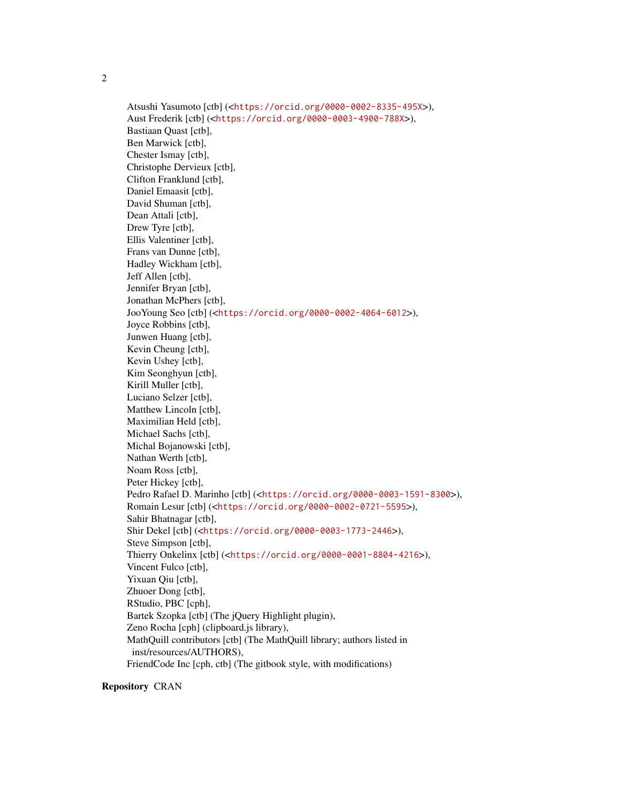2

Atsushi Yasumoto [ctb] (<<https://orcid.org/0000-0002-8335-495X>>), Aust Frederik [ctb] (<<https://orcid.org/0000-0003-4900-788X>>), Bastiaan Quast [ctb], Ben Marwick [ctb], Chester Ismay [ctb], Christophe Dervieux [ctb], Clifton Franklund [ctb], Daniel Emaasit [ctb], David Shuman [ctb], Dean Attali [ctb], Drew Tyre [ctb], Ellis Valentiner [ctb], Frans van Dunne [ctb], Hadley Wickham [ctb], Jeff Allen [ctb], Jennifer Bryan [ctb], Jonathan McPhers [ctb], JooYoung Seo [ctb] (<<https://orcid.org/0000-0002-4064-6012>>), Joyce Robbins [ctb], Junwen Huang [ctb], Kevin Cheung [ctb], Kevin Ushey [ctb], Kim Seonghyun [ctb], Kirill Muller [ctb], Luciano Selzer [ctb], Matthew Lincoln [ctb], Maximilian Held [ctb], Michael Sachs [ctb], Michal Bojanowski [ctb], Nathan Werth [ctb], Noam Ross [ctb], Peter Hickey [ctb], Pedro Rafael D. Marinho [ctb] (<<https://orcid.org/0000-0003-1591-8300>>), Romain Lesur [ctb] (<<https://orcid.org/0000-0002-0721-5595>>), Sahir Bhatnagar [ctb], Shir Dekel [ctb] (<<https://orcid.org/0000-0003-1773-2446>>), Steve Simpson [ctb], Thierry Onkelinx [ctb] (<<https://orcid.org/0000-0001-8804-4216>>), Vincent Fulco [ctb], Yixuan Qiu [ctb], Zhuoer Dong [ctb], RStudio, PBC [cph], Bartek Szopka [ctb] (The jQuery Highlight plugin), Zeno Rocha [cph] (clipboard.js library), MathQuill contributors [ctb] (The MathQuill library; authors listed in inst/resources/AUTHORS), FriendCode Inc [cph, ctb] (The gitbook style, with modifications)

Repository CRAN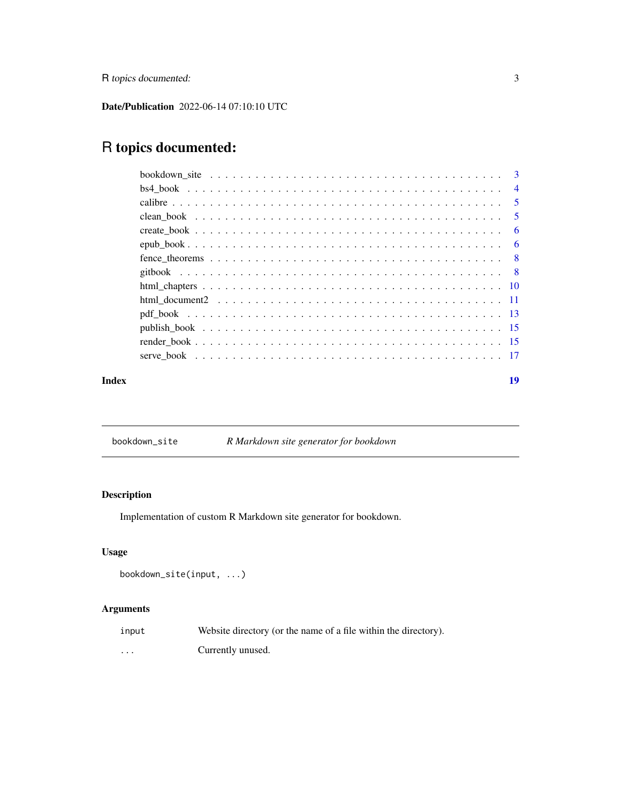<span id="page-2-0"></span>R topics documented: 3

Date/Publication 2022-06-14 07:10:10 UTC

# R topics documented:

| bookdown site $\ldots \ldots \ldots \ldots \ldots \ldots \ldots \ldots \ldots \ldots \ldots \ldots$ |                |
|-----------------------------------------------------------------------------------------------------|----------------|
|                                                                                                     | $\overline{4}$ |
|                                                                                                     | $\sqrt{5}$     |
|                                                                                                     | $\sqrt{5}$     |
|                                                                                                     |                |
|                                                                                                     |                |
|                                                                                                     |                |
|                                                                                                     |                |
|                                                                                                     |                |
|                                                                                                     |                |
|                                                                                                     |                |
|                                                                                                     |                |
|                                                                                                     |                |
|                                                                                                     |                |
|                                                                                                     |                |

#### **Index** 2008 **[19](#page-18-0)99**

bookdown\_site *R Markdown site generator for bookdown*

#### Description

Implementation of custom R Markdown site generator for bookdown.

#### Usage

```
bookdown_site(input, ...)
```
#### Arguments

| input    | Website directory (or the name of a file within the directory). |
|----------|-----------------------------------------------------------------|
| $\cdots$ | Currently unused.                                               |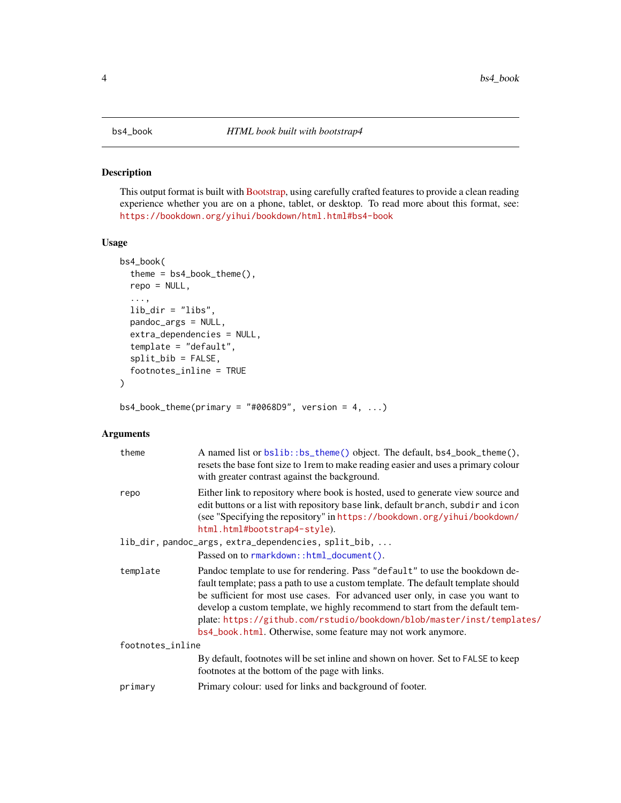<span id="page-3-1"></span><span id="page-3-0"></span>This output format is built with [Bootstrap,](https://getbootstrap.com) using carefully crafted features to provide a clean reading experience whether you are on a phone, tablet, or desktop. To read more about this format, see: <https://bookdown.org/yihui/bookdown/html.html#bs4-book>

#### Usage

```
bs4_book(
  theme = bs4_book_theme(),
  repo = NULL,
  ...,
  lib\_dir = "libs",pandoc_args = NULL,
  extra_dependencies = NULL,
  template = "default",
  split_bib = FALSE,
  footnotes_inline = TRUE
)
```
 $bs4\_book\_them$ e(primary = "#0068D9", version = 4, ...)

#### Arguments

| theme            | A named list or bslib::bs_theme() object. The default, bs4_book_theme(),<br>resets the base font size to 1 rem to make reading easier and uses a primary colour<br>with greater contrast against the background.                                                                                                                                                                                                                                                              |
|------------------|-------------------------------------------------------------------------------------------------------------------------------------------------------------------------------------------------------------------------------------------------------------------------------------------------------------------------------------------------------------------------------------------------------------------------------------------------------------------------------|
| repo             | Either link to repository where book is hosted, used to generate view source and<br>edit buttons or a list with repository base link, default branch, subdir and icon<br>(see "Specifying the repository" in https://bookdown.org/yihui/bookdown/<br>html.html#bootstrap4-style).                                                                                                                                                                                             |
|                  | lib_dir, pandoc_args, extra_dependencies, split_bib,                                                                                                                                                                                                                                                                                                                                                                                                                          |
|                  | Passed on to rmarkdown::html_document().                                                                                                                                                                                                                                                                                                                                                                                                                                      |
| template         | Pandoc template to use for rendering. Pass "default" to use the bookdown de-<br>fault template; pass a path to use a custom template. The default template should<br>be sufficient for most use cases. For advanced user only, in case you want to<br>develop a custom template, we highly recommend to start from the default tem-<br>plate: https://github.com/rstudio/bookdown/blob/master/inst/templates/<br>bs4_book.html. Otherwise, some feature may not work anymore. |
| footnotes_inline |                                                                                                                                                                                                                                                                                                                                                                                                                                                                               |
|                  | By default, footnotes will be set inline and shown on hover. Set to FALSE to keep<br>footnotes at the bottom of the page with links.                                                                                                                                                                                                                                                                                                                                          |
| primary          | Primary colour: used for links and background of footer.                                                                                                                                                                                                                                                                                                                                                                                                                      |
|                  |                                                                                                                                                                                                                                                                                                                                                                                                                                                                               |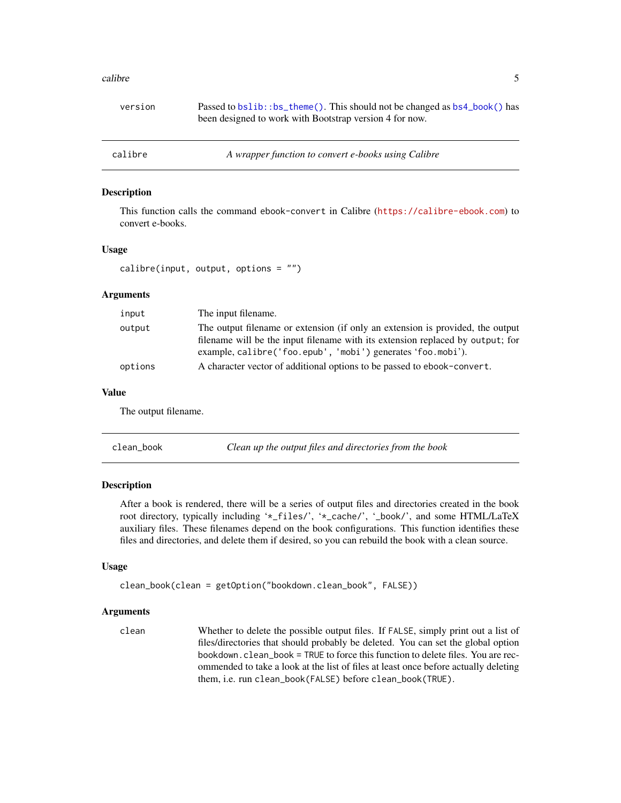#### <span id="page-4-0"></span>calibre 5

| version | Passed to bs1ib::bs_theme(). This should not be changed as bs4_book() has<br>been designed to work with Bootstrap version 4 for now. |
|---------|--------------------------------------------------------------------------------------------------------------------------------------|
| calibre | A wrapper function to convert e-books using Calibre                                                                                  |

#### Description

This function calls the command ebook-convert in Calibre (<https://calibre-ebook.com>) to convert e-books.

#### Usage

```
calibre(input, output, options = ")
```
#### Arguments

| input   | The input filename.                                                            |
|---------|--------------------------------------------------------------------------------|
| output  | The output filename or extension (if only an extension is provided, the output |
|         | filename will be the input filename with its extension replaced by output; for |
|         | example, calibre ('foo.epub', 'mobi') generates 'foo.mobi').                   |
| options | A character vector of additional options to be passed to ebook-convert.        |

#### Value

The output filename.

| clean book | Clean up the output files and directories from the book |
|------------|---------------------------------------------------------|
|------------|---------------------------------------------------------|

#### Description

After a book is rendered, there will be a series of output files and directories created in the book root directory, typically including '\*\_files/', '\*\_cache/', '\_book/', and some HTML/LaTeX auxiliary files. These filenames depend on the book configurations. This function identifies these files and directories, and delete them if desired, so you can rebuild the book with a clean source.

#### Usage

```
clean_book(clean = getOption("bookdown.clean_book", FALSE))
```
#### Arguments

clean Whether to delete the possible output files. If FALSE, simply print out a list of files/directories that should probably be deleted. You can set the global option bookdown.clean\_book = TRUE to force this function to delete files. You are recommended to take a look at the list of files at least once before actually deleting them, i.e. run clean\_book(FALSE) before clean\_book(TRUE).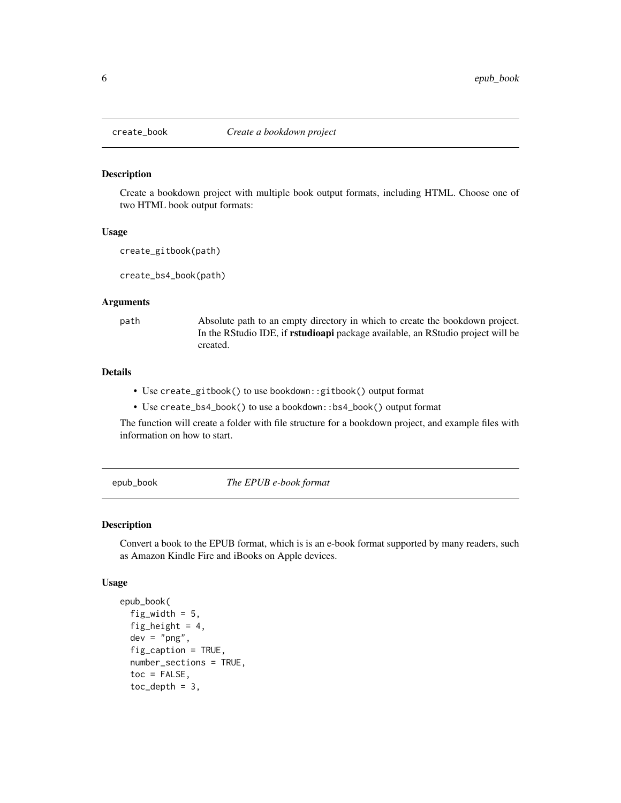<span id="page-5-0"></span>

Create a bookdown project with multiple book output formats, including HTML. Choose one of two HTML book output formats:

#### Usage

```
create_gitbook(path)
```
create\_bs4\_book(path)

#### Arguments

path Absolute path to an empty directory in which to create the bookdown project. In the RStudio IDE, if rstudioapi package available, an RStudio project will be created.

#### Details

- Use create\_gitbook() to use bookdown::gitbook() output format
- Use create\_bs4\_book() to use a bookdown::bs4\_book() output format

The function will create a folder with file structure for a bookdown project, and example files with information on how to start.

epub\_book *The EPUB e-book format*

#### Description

Convert a book to the EPUB format, which is is an e-book format supported by many readers, such as Amazon Kindle Fire and iBooks on Apple devices.

#### Usage

```
epub_book(
  fig_width = 5,
  fig_height = 4,
  dev = "png",fig_caption = TRUE,
  number_sections = TRUE,
  toc = FALSE,toc\_depth = 3,
```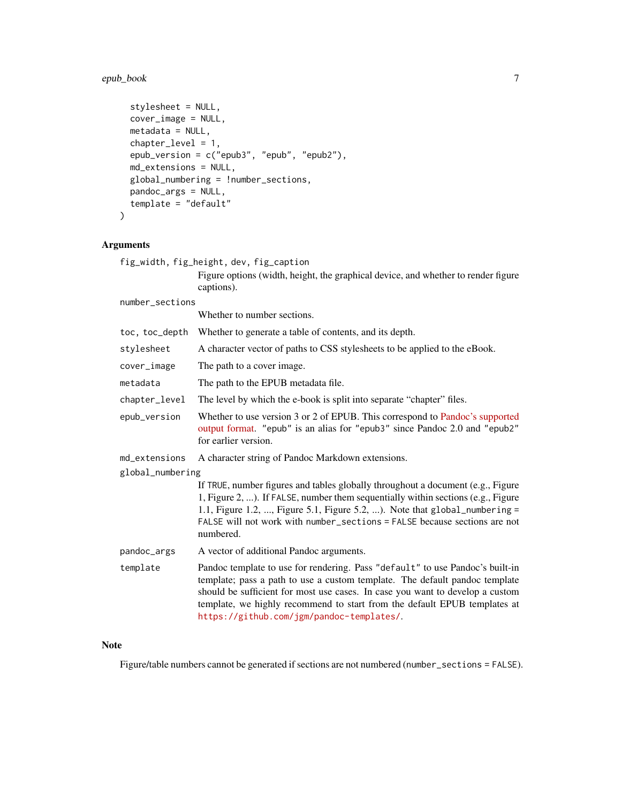#### epub\_book 7

```
stylesheet = NULL,
 cover_image = NULL,
 metadata = NULL,chapter_level = 1,
  epub_version = c("epub3", "epub", "epub2"),
 md_extensions = NULL,
 global_numbering = !number_sections,
 pandoc_args = NULL,
  template = "default"
\mathcal{L}
```
#### Arguments

|                  | fig_width, fig_height, dev, fig_caption                                                                                                                                                                                                                                                                                                                                 |
|------------------|-------------------------------------------------------------------------------------------------------------------------------------------------------------------------------------------------------------------------------------------------------------------------------------------------------------------------------------------------------------------------|
|                  | Figure options (width, height, the graphical device, and whether to render figure<br>captions).                                                                                                                                                                                                                                                                         |
| number_sections  |                                                                                                                                                                                                                                                                                                                                                                         |
|                  | Whether to number sections.                                                                                                                                                                                                                                                                                                                                             |
| toc, toc_depth   | Whether to generate a table of contents, and its depth.                                                                                                                                                                                                                                                                                                                 |
| stylesheet       | A character vector of paths to CSS stylesheets to be applied to the eBook.                                                                                                                                                                                                                                                                                              |
| cover_image      | The path to a cover image.                                                                                                                                                                                                                                                                                                                                              |
| metadata         | The path to the EPUB metadata file.                                                                                                                                                                                                                                                                                                                                     |
| chapter_level    | The level by which the e-book is split into separate "chapter" files.                                                                                                                                                                                                                                                                                                   |
| epub_version     | Whether to use version 3 or 2 of EPUB. This correspond to Pandoc's supported<br>output format. "epub" is an alias for "epub3" since Pandoc 2.0 and "epub2"<br>for earlier version.                                                                                                                                                                                      |
| md_extensions    | A character string of Pandoc Markdown extensions.                                                                                                                                                                                                                                                                                                                       |
| global_numbering |                                                                                                                                                                                                                                                                                                                                                                         |
|                  | If TRUE, number figures and tables globally throughout a document (e.g., Figure<br>1, Figure 2, ). If FALSE, number them sequentially within sections (e.g., Figure<br>1.1, Figure 1.2, , Figure 5.1, Figure 5.2, ). Note that global_numbering =<br>FALSE will not work with number_sections = FALSE because sections are not<br>numbered.                             |
| pandoc_args      | A vector of additional Pandoc arguments.                                                                                                                                                                                                                                                                                                                                |
| template         | Pandoc template to use for rendering. Pass "default" to use Pandoc's built-in<br>template; pass a path to use a custom template. The default pandoc template<br>should be sufficient for most use cases. In case you want to develop a custom<br>template, we highly recommend to start from the default EPUB templates at<br>https://github.com/jgm/pandoc-templates/. |

#### Note

Figure/table numbers cannot be generated if sections are not numbered (number\_sections = FALSE).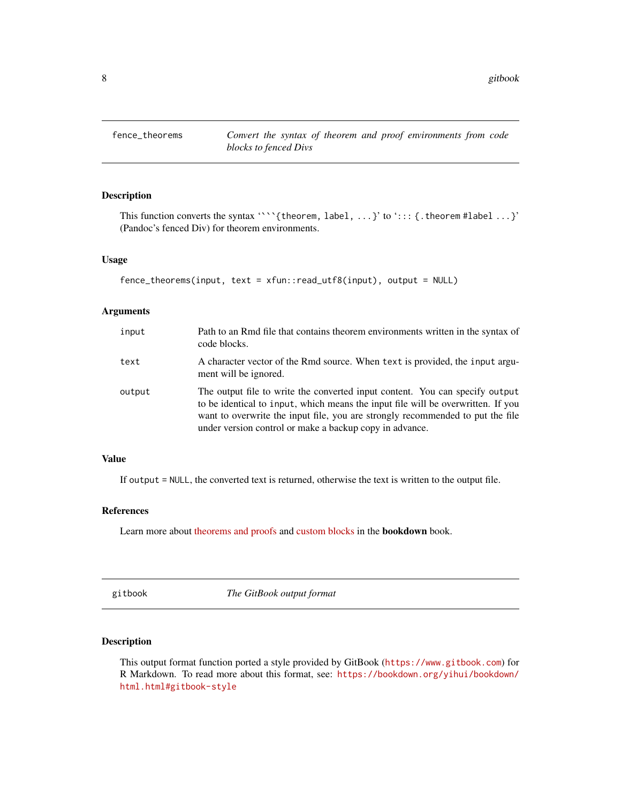<span id="page-7-0"></span>

This function converts the syntax '``'{theorem, label, ...}' to '::: {.theorem #label ...}' (Pandoc's fenced Div) for theorem environments.

#### Usage

```
fence_theorems(input, text = xfun::read_utf8(input), output = NULL)
```
#### Arguments

| input  | Path to an Rmd file that contains theorem environments written in the syntax of<br>code blocks.                                                                                                                                                                                                               |
|--------|---------------------------------------------------------------------------------------------------------------------------------------------------------------------------------------------------------------------------------------------------------------------------------------------------------------|
| text   | A character vector of the Rmd source. When text is provided, the input argu-<br>ment will be ignored.                                                                                                                                                                                                         |
| output | The output file to write the converted input content. You can specify output<br>to be identical to input, which means the input file will be overwritten. If you<br>want to overwrite the input file, you are strongly recommended to put the file<br>under version control or make a backup copy in advance. |

#### Value

If output = NULL, the converted text is returned, otherwise the text is written to the output file.

#### References

Learn more about [theorems and proofs](https://bookdown.org/yihui/bookdown/markdown-extensions-by-bookdown.html#theorems) and [custom blocks](https://bookdown.org/yihui/rmarkdown-cookbook/custom-blocks.html) in the bookdown book.

gitbook *The GitBook output format*

#### Description

This output format function ported a style provided by GitBook (<https://www.gitbook.com>) for R Markdown. To read more about this format, see: [https://bookdown.org/yihui/bookdown/](https://bookdown.org/yihui/bookdown/html.html#gitbook-style) [html.html#gitbook-style](https://bookdown.org/yihui/bookdown/html.html#gitbook-style)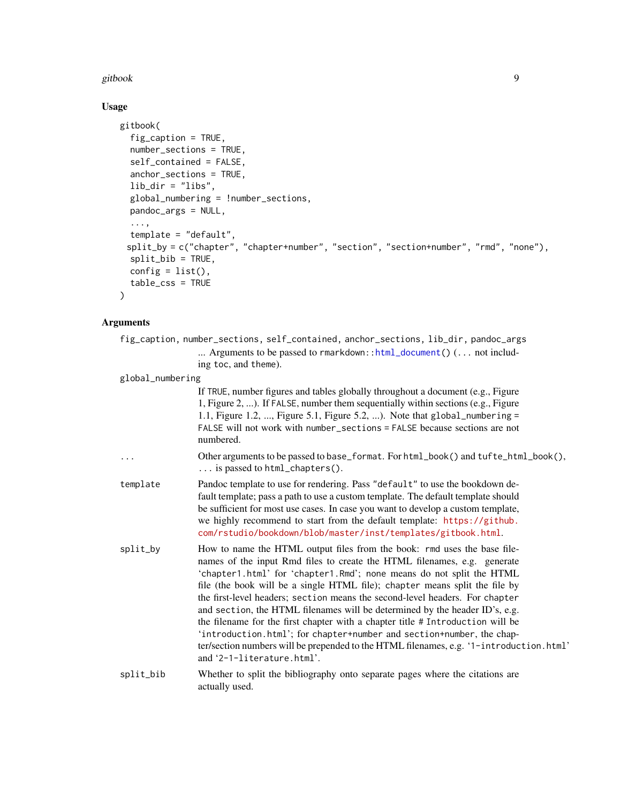#### <span id="page-8-0"></span>gitbook 9

### Usage

```
gitbook(
 fig_caption = TRUE,
 number_sections = TRUE,
 self_contained = FALSE,
 anchor_sections = TRUE,
 lib\_dir = "libs",global_numbering = !number_sections,
 pandoc_args = NULL,
  ...,
  template = "default",
 split_by = c("chapter", "chapter+number", "section", "section+number", "rmd", "none"),
 split_bib = TRUE,
 config = list(),
 table_css = TRUE
)
```
#### Arguments

| fig_caption, number_sections, self_contained, anchor_sections, lib_dir, pandoc_args |                                                                               |  |  |
|-------------------------------------------------------------------------------------|-------------------------------------------------------------------------------|--|--|
|                                                                                     | Arguments to be passed to rmarkdown: : html_document() $( \ldots$ not includ- |  |  |
| ing toc, and theme).                                                                |                                                                               |  |  |

global\_numbering

|           | If TRUE, number figures and tables globally throughout a document (e.g., Figure<br>1, Figure 2, ). If FALSE, number them sequentially within sections (e.g., Figure<br>1.1, Figure 1.2, , Figure 5.1, Figure 5.2, ). Note that global_numbering =<br>FALSE will not work with number_sections = FALSE because sections are not<br>numbered.                                                                                                                                                                                                                                                                                                                                                                                                                    |
|-----------|----------------------------------------------------------------------------------------------------------------------------------------------------------------------------------------------------------------------------------------------------------------------------------------------------------------------------------------------------------------------------------------------------------------------------------------------------------------------------------------------------------------------------------------------------------------------------------------------------------------------------------------------------------------------------------------------------------------------------------------------------------------|
| .         | Other arguments to be passed to base_format. For html_book() and tufte_html_book(),<br>$\ldots$ is passed to html_chapters().                                                                                                                                                                                                                                                                                                                                                                                                                                                                                                                                                                                                                                  |
| template  | Pandoc template to use for rendering. Pass "default" to use the bookdown de-<br>fault template; pass a path to use a custom template. The default template should<br>be sufficient for most use cases. In case you want to develop a custom template,<br>we highly recommend to start from the default template: https://github.<br>com/rstudio/bookdown/blob/master/inst/templates/gitbook.html.                                                                                                                                                                                                                                                                                                                                                              |
| split_by  | How to name the HTML output files from the book: rmd uses the base file-<br>names of the input Rmd files to create the HTML filenames, e.g. generate<br>'chapter1.html' for 'chapter1.Rmd'; none means do not split the HTML<br>file (the book will be a single HTML file); chapter means split the file by<br>the first-level headers; section means the second-level headers. For chapter<br>and section, the HTML filenames will be determined by the header ID's, e.g.<br>the filename for the first chapter with a chapter title # Introduction will be<br>'introduction.html'; for chapter+number and section+number, the chap-<br>ter/section numbers will be prepended to the HTML filenames, e.g. '1-introduction.html'<br>and '2-1-literature.html'. |
| split_bib | Whether to split the bibliography onto separate pages where the citations are<br>actually used.                                                                                                                                                                                                                                                                                                                                                                                                                                                                                                                                                                                                                                                                |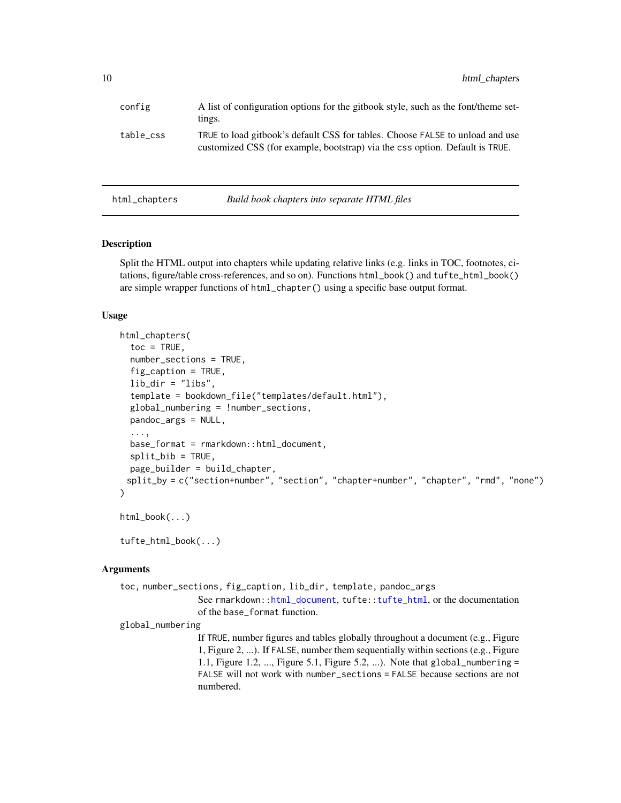<span id="page-9-0"></span>

| config    | A list of configuration options for the gitbook style, such as the font/theme set-<br>tings.                                                                  |
|-----------|---------------------------------------------------------------------------------------------------------------------------------------------------------------|
| table_css | TRUE to load gitbook's default CSS for tables. Choose FALSE to unload and use<br>customized CSS (for example, bootstrap) via the css option. Default is TRUE. |

html\_chapters *Build book chapters into separate HTML files*

#### Description

Split the HTML output into chapters while updating relative links (e.g. links in TOC, footnotes, citations, figure/table cross-references, and so on). Functions html\_book() and tufte\_html\_book() are simple wrapper functions of html\_chapter() using a specific base output format.

#### Usage

```
html_chapters(
  \text{toc} = \text{TRUE},
  number_sections = TRUE,
  fig_caption = TRUE,
  lib\_dir = "libs",template = bookdown_file("templates/default.html"),
  global_numbering = !number_sections,
  pandoc_args = NULL,
  ...,
  base_format = rmarkdown::html_document,
  split_bib = TRUE,
  page_builder = build_chapter,
 split_by = c("section+number", "section", "chapter+number", "chapter", "rmd", "none")
)
html_book(...)
```
tufte\_html\_book(...)

#### Arguments

toc, number\_sections, fig\_capt[ion, lib\\_dir, te](#page-0-0)mplate[, pandoc\\_arg](#page-0-0)s See rmarkdown::html\_document, tufte::tufte\_html, or the documentation of the base\_format function. global\_numbering

> If TRUE, number figures and tables globally throughout a document (e.g., Figure 1, Figure 2, ...). If FALSE, number them sequentially within sections (e.g., Figure 1.1, Figure 1.2, ..., Figure 5.1, Figure 5.2, ...). Note that global\_numbering = FALSE will not work with number\_sections = FALSE because sections are not numbered.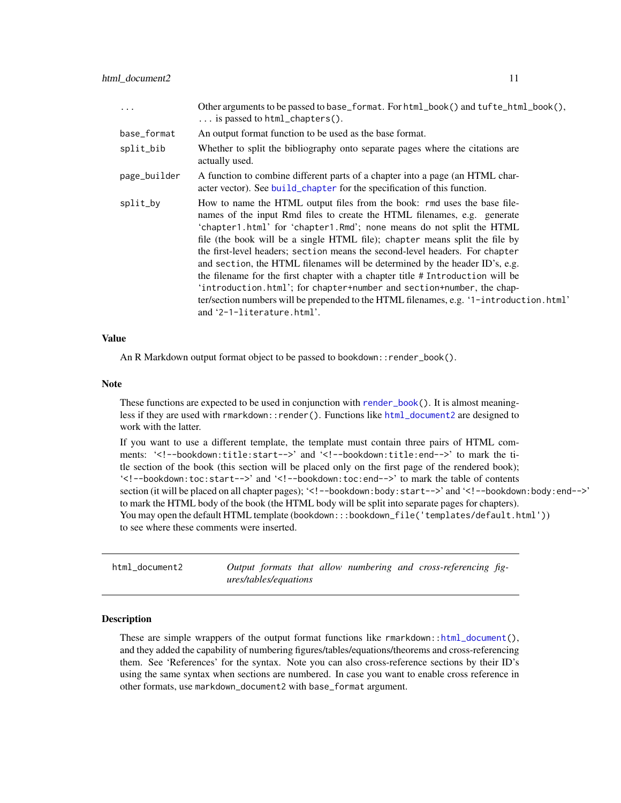<span id="page-10-0"></span>

| $\ddots$     | Other arguments to be passed to base_format. For html_book() and tufte_html_book(),<br>$\ldots$ is passed to html_chapters().                                                                                                                                                                                                                                                                                                                                                                                                                                                                                                                                                                                                                                  |
|--------------|----------------------------------------------------------------------------------------------------------------------------------------------------------------------------------------------------------------------------------------------------------------------------------------------------------------------------------------------------------------------------------------------------------------------------------------------------------------------------------------------------------------------------------------------------------------------------------------------------------------------------------------------------------------------------------------------------------------------------------------------------------------|
| base_format  | An output format function to be used as the base format.                                                                                                                                                                                                                                                                                                                                                                                                                                                                                                                                                                                                                                                                                                       |
| split_bib    | Whether to split the bibliography onto separate pages where the citations are<br>actually used.                                                                                                                                                                                                                                                                                                                                                                                                                                                                                                                                                                                                                                                                |
| page_builder | A function to combine different parts of a chapter into a page (an HTML char-<br>acter vector). See build_chapter for the specification of this function.                                                                                                                                                                                                                                                                                                                                                                                                                                                                                                                                                                                                      |
| split_by     | How to name the HTML output files from the book: rmd uses the base file-<br>names of the input Rmd files to create the HTML filenames, e.g. generate<br>'chapter1.html' for 'chapter1.Rmd'; none means do not split the HTML<br>file (the book will be a single HTML file); chapter means split the file by<br>the first-level headers; section means the second-level headers. For chapter<br>and section, the HTML filenames will be determined by the header ID's, e.g.<br>the filename for the first chapter with a chapter title # Introduction will be<br>'introduction.html'; for chapter+number and section+number, the chap-<br>ter/section numbers will be prepended to the HTML filenames, e.g. '1-introduction.html'<br>and '2-1-literature.html'. |

#### Value

An R Markdown output format object to be passed to bookdown:: render\_book().

#### Note

These functions are expected to be used in conjunction with [render\\_book\(](#page-14-1)). It is almost meaningless if they are used with rmarkdown::render(). Functions like [html\\_document2](#page-10-1) are designed to work with the latter.

If you want to use a different template, the template must contain three pairs of HTML comments: '<!--bookdown:title:start-->' and '<!--bookdown:title:end-->' to mark the title section of the book (this section will be placed only on the first page of the rendered book); '<!--bookdown:toc:start-->' and '<!--bookdown:toc:end-->' to mark the table of contents section (it will be placed on all chapter pages); '<!--bookdown:body:start-->' and '<!--bookdown:body:end-->' to mark the HTML body of the book (the HTML body will be split into separate pages for chapters). You may open the default HTML template (bookdown:::bookdown\_file('templates/default.html')) to see where these comments were inserted.

<span id="page-10-1"></span>html\_document2 *Output formats that allow numbering and cross-referencing figures/tables/equations*

#### Description

These are simple wrappers of the output format functions like  $r$ markdown:[:html\\_document\(](#page-0-0)), and they added the capability of numbering figures/tables/equations/theorems and cross-referencing them. See 'References' for the syntax. Note you can also cross-reference sections by their ID's using the same syntax when sections are numbered. In case you want to enable cross reference in other formats, use markdown\_document2 with base\_format argument.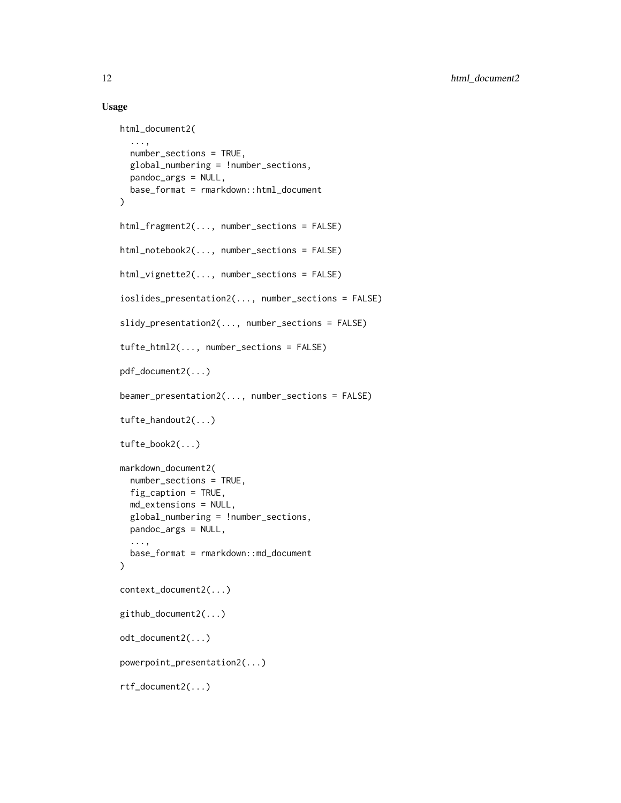#### Usage

```
html_document2(
  ...,
  number_sections = TRUE,
  global_numbering = !number_sections,
  pandoc_args = NULL,
  base_format = rmarkdown::html_document
\mathcal{L}html_fragment2(..., number_sections = FALSE)
html_notebook2(..., number_sections = FALSE)
html_vignette2(..., number_sections = FALSE)
ioslides_presentation2(..., number_sections = FALSE)
slidy_presentation2(..., number_sections = FALSE)
tufte_html2(..., number_sections = FALSE)
pdf_document2(...)
beamer_presentation2(..., number_sections = FALSE)
tufte_handout2(...)
tufte_book2(...)
markdown_document2(
  number_sections = TRUE,
  fig_caption = TRUE,
  md_extensions = NULL,
  global_numbering = !number_sections,
  pandoc_args = NULL,
  ...,
  base_format = rmarkdown::md_document
\mathcal{L}context_document2(...)
github_document2(...)
odt_document2(...)
powerpoint_presentation2(...)
rtf_document2(...)
```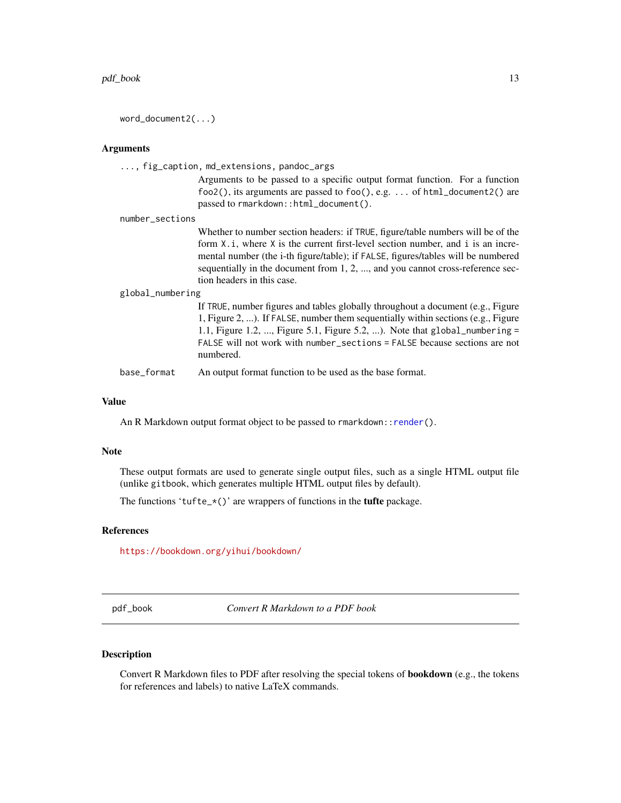<span id="page-12-0"></span>word\_document2(...)

#### Arguments

| $\ldots$ , fig_caption, md_extensions, pandoc_args |                                                                                                                                                                                                                                                                                                                                                                        |  |
|----------------------------------------------------|------------------------------------------------------------------------------------------------------------------------------------------------------------------------------------------------------------------------------------------------------------------------------------------------------------------------------------------------------------------------|--|
|                                                    | Arguments to be passed to a specific output format function. For a function<br>foo2(), its arguments are passed to foo(), e.g. of html_document2() are<br>passed to rmarkdown::html_document().                                                                                                                                                                        |  |
| number_sections                                    |                                                                                                                                                                                                                                                                                                                                                                        |  |
|                                                    | Whether to number section headers: if TRUE, figure/table numbers will be of the<br>form X, i, where X is the current first-level section number, and i is an incre-<br>mental number (the i-th figure/table); if FALSE, figures/tables will be numbered<br>sequentially in the document from 1, 2, , and you cannot cross-reference sec-<br>tion headers in this case. |  |
| global_numbering                                   |                                                                                                                                                                                                                                                                                                                                                                        |  |
|                                                    | If TRUE, number figures and tables globally throughout a document (e.g., Figure<br>1, Figure 2, ). If FALSE, number them sequentially within sections (e.g., Figure<br>1.1, Figure 1.2, , Figure 5.1, Figure 5.2, ). Note that global_numbering =<br>FALSE will not work with number_sections = FALSE because sections are not<br>numbered.                            |  |
| base_format                                        | An output format function to be used as the base format.                                                                                                                                                                                                                                                                                                               |  |

#### Value

An R Markdown output format object to be passed to rmarkdown:: render().

#### Note

These output formats are used to generate single output files, such as a single HTML output file (unlike gitbook, which generates multiple HTML output files by default).

The functions 'tufte\_ $*(')$ ' are wrappers of functions in the **tufte** package.

#### References

<https://bookdown.org/yihui/bookdown/>

pdf\_book *Convert R Markdown to a PDF book*

#### Description

Convert R Markdown files to PDF after resolving the special tokens of bookdown (e.g., the tokens for references and labels) to native LaTeX commands.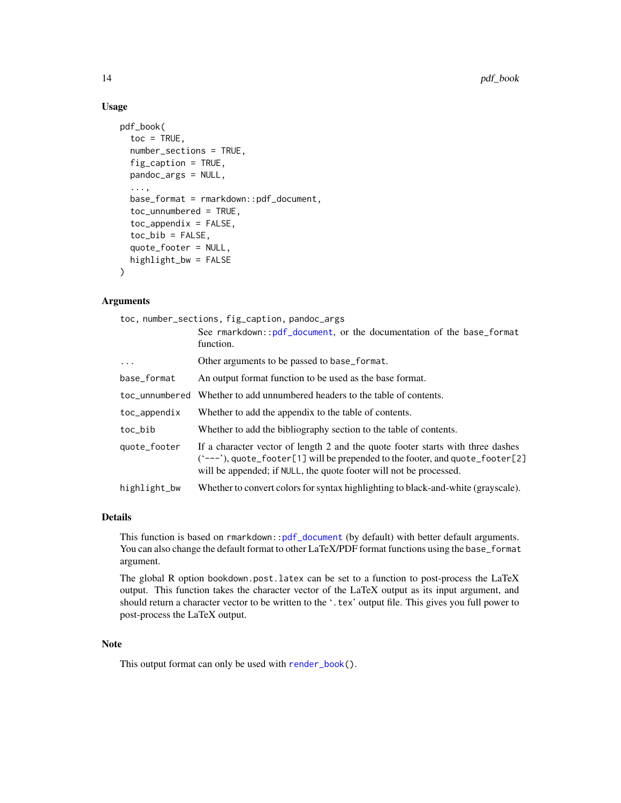#### Usage

```
pdf_book(
  toc = TRUE,number_sections = TRUE,
  fig_caption = TRUE,
 pandoc_args = NULL,
  ...,
  base_format = rmarkdown::pdf_document,
  toc_unnumbered = TRUE,
  toc\_\text{appendix} = FALSE,toc\_bib = FALSE,quote_footer = NULL,
  highlight_bw = FALSE
)
```
#### Arguments

toc, number\_sections, fig\_capti[on, pandoc\\_ar](#page-0-0)gs

|                | See rmarkdown::pdf_document, or the documentation of the base_format<br>function.                                                                                                                                                               |
|----------------|-------------------------------------------------------------------------------------------------------------------------------------------------------------------------------------------------------------------------------------------------|
| $\ddots$       | Other arguments to be passed to base_format.                                                                                                                                                                                                    |
| base_format    | An output format function to be used as the base format.                                                                                                                                                                                        |
| toc unnumbered | Whether to add unnumbered headers to the table of contents.                                                                                                                                                                                     |
| toc_appendix   | Whether to add the appendix to the table of contents.                                                                                                                                                                                           |
| toc_bib        | Whether to add the bibliography section to the table of contents.                                                                                                                                                                               |
| quote_footer   | If a character vector of length 2 and the quote footer starts with three dashes<br>$($ $(-$ -- $)$ , quote_footer[1] will be prepended to the footer, and quote_footer[2]<br>will be appended; if NULL, the quote footer will not be processed. |
| highlight_bw   | Whether to convert colors for syntax highlighting to black-and-white (grayscale).                                                                                                                                                               |

#### Details

This function is based on rmarkdown:[:pdf\\_document](#page-0-0) (by default) with better default arguments. You can also change the default format to other LaTeX/PDF format functions using the base\_format argument.

The global R option bookdown.post.latex can be set to a function to post-process the LaTeX output. This function takes the character vector of the LaTeX output as its input argument, and should return a character vector to be written to the '.tex' output file. This gives you full power to post-process the LaTeX output.

#### Note

This output format can only be used with [render\\_book\(](#page-14-1)).

<span id="page-13-0"></span>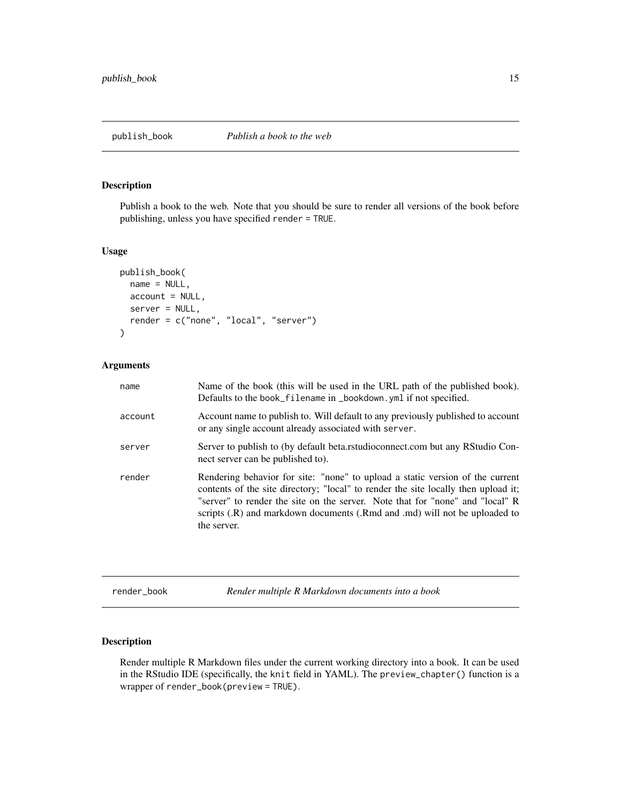<span id="page-14-0"></span>Publish a book to the web. Note that you should be sure to render all versions of the book before publishing, unless you have specified render = TRUE.

#### Usage

```
publish_book(
 name = NULL,account = NULL,server = NULL,
 render = c("none", "local", "server")
)
```
#### Arguments

| name    | Name of the book (this will be used in the URL path of the published book).<br>Defaults to the book_filename in _bookdown. yml if not specified.                                                                                                                                                                                                  |
|---------|---------------------------------------------------------------------------------------------------------------------------------------------------------------------------------------------------------------------------------------------------------------------------------------------------------------------------------------------------|
| account | Account name to publish to. Will default to any previously published to account<br>or any single account already associated with server.                                                                                                                                                                                                          |
| server  | Server to publish to (by default beta.rstudioconnect.com but any RStudio Con-<br>nect server can be published to).                                                                                                                                                                                                                                |
| render  | Rendering behavior for site: "none" to upload a static version of the current<br>contents of the site directory; "local" to render the site locally then upload it;<br>"server" to render the site on the server. Note that for "none" and "local" R<br>scripts (.R) and markdown documents (.Rmd and .md) will not be uploaded to<br>the server. |

<span id="page-14-1"></span>render\_book *Render multiple R Markdown documents into a book*

#### Description

Render multiple R Markdown files under the current working directory into a book. It can be used in the RStudio IDE (specifically, the knit field in YAML). The preview\_chapter() function is a wrapper of render\_book(preview = TRUE).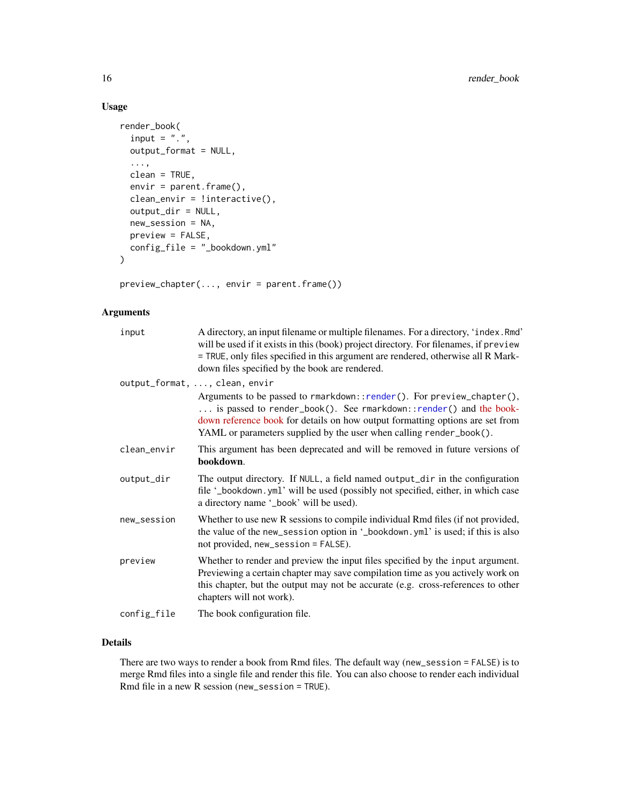#### Usage

```
render_book(
 input = "."output_format = NULL,
  ...,
 clean = TRUE,
  envir = parent.frame(),
 clean_envir = !interactive(),
 output_dir = NULL,
 new_session = NA,
 preview = FALSE,
 config_file = "_bookdown.yml"
)
```
preview\_chapter(..., envir = parent.frame())

### Arguments

| input       | A directory, an input filename or multiple filenames. For a directory, 'index. Rmd'<br>will be used if it exists in this (book) project directory. For filenames, if preview<br>= TRUE, only files specified in this argument are rendered, otherwise all R Mark-<br>down files specified by the book are rendered.                 |
|-------------|-------------------------------------------------------------------------------------------------------------------------------------------------------------------------------------------------------------------------------------------------------------------------------------------------------------------------------------|
|             | output_format, , clean, envir<br>Arguments to be passed to rmarkdown::render(). For preview_chapter(),<br>is passed to render_book(). See rmarkdown::render() and the book-<br>down reference book for details on how output formatting options are set from<br>YAML or parameters supplied by the user when calling render_book(). |
| clean_envir | This argument has been deprecated and will be removed in future versions of<br>bookdown.                                                                                                                                                                                                                                            |
| output_dir  | The output directory. If NULL, a field named output_dir in the configuration<br>file '_bookdown.yml' will be used (possibly not specified, either, in which case<br>a directory name '_book' will be used).                                                                                                                         |
| new_session | Whether to use new R sessions to compile individual Rmd files (if not provided,<br>the value of the new_session option in '_bookdown.yml' is used; if this is also<br>not provided, new_session = FALSE).                                                                                                                           |
| preview     | Whether to render and preview the input files specified by the input argument.<br>Previewing a certain chapter may save compilation time as you actively work on<br>this chapter, but the output may not be accurate (e.g. cross-references to other<br>chapters will not work).                                                    |
| config_file | The book configuration file.                                                                                                                                                                                                                                                                                                        |

#### Details

There are two ways to render a book from Rmd files. The default way (new\_session = FALSE) is to merge Rmd files into a single file and render this file. You can also choose to render each individual Rmd file in a new R session (new\_session = TRUE).

<span id="page-15-0"></span>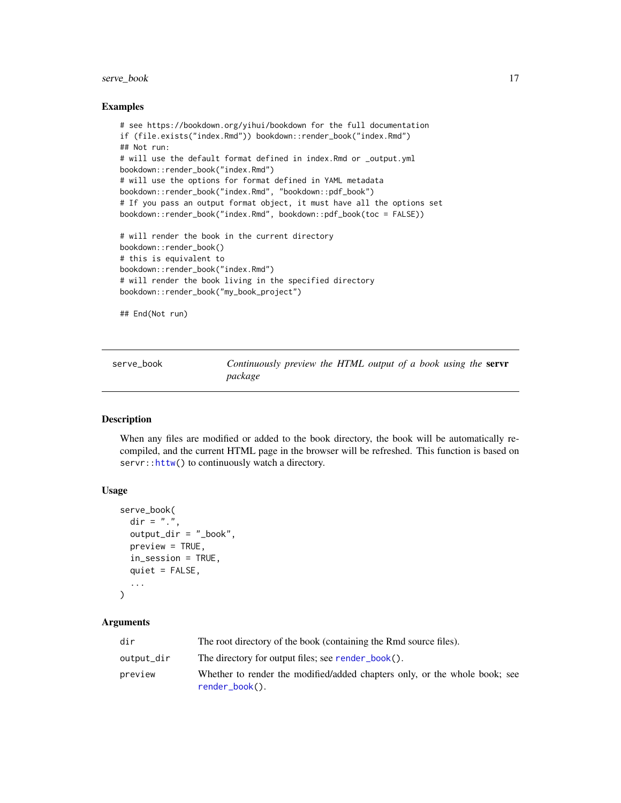#### <span id="page-16-0"></span>serve\_book 17

#### Examples

```
# see https://bookdown.org/yihui/bookdown for the full documentation
if (file.exists("index.Rmd")) bookdown::render_book("index.Rmd")
## Not run:
# will use the default format defined in index.Rmd or _output.yml
bookdown::render_book("index.Rmd")
# will use the options for format defined in YAML metadata
bookdown::render_book("index.Rmd", "bookdown::pdf_book")
# If you pass an output format object, it must have all the options set
bookdown::render_book("index.Rmd", bookdown::pdf_book(toc = FALSE))
# will render the book in the current directory
bookdown::render_book()
# this is equivalent to
bookdown::render_book("index.Rmd")
# will render the book living in the specified directory
bookdown::render_book("my_book_project")
```
## End(Not run)

serve\_book *Continuously preview the HTML output of a book using the* servr *package*

#### **Description**

When any files are modified or added to the book directory, the book will be automatically recompiled, and the current HTML page in the browser will be refreshed. This function is based on servr:[:httw\(](#page-0-0)) to continuously watch a directory.

#### Usage

```
serve_book(
 dir = "."output_dir = "_book",
 preview = TRUE,
  in_session = TRUE,
  quiet = FALSE,
  ...
\lambda
```
## Arguments

| dir        | The root directory of the book (containing the Rmd source files).                                |
|------------|--------------------------------------------------------------------------------------------------|
| output_dir | The directory for output files; see render_book().                                               |
| preview    | Whether to render the modified/added chapters only, or the whole book; see<br>$render\_book()$ . |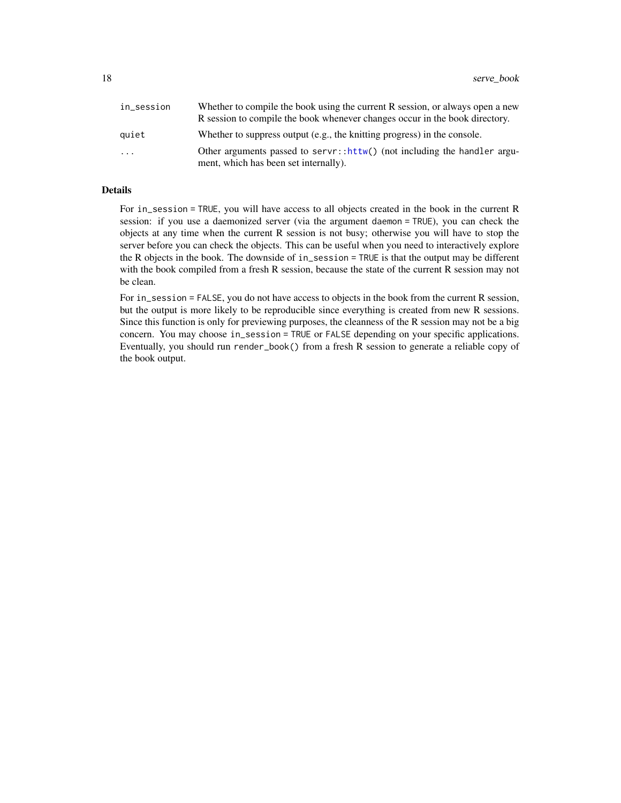<span id="page-17-0"></span>

| in_session              | Whether to compile the book using the current R session, or always open a new                                                  |
|-------------------------|--------------------------------------------------------------------------------------------------------------------------------|
|                         | R session to compile the book whenever changes occur in the book directory.                                                    |
| quiet                   | Whether to suppress output (e.g., the knitting progress) in the console.                                                       |
| $\cdot$ $\cdot$ $\cdot$ | Other arguments passed to server:: $\text{http://not including the handler argument}$<br>ment, which has been set internally). |

#### Details

For in\_session = TRUE, you will have access to all objects created in the book in the current R session: if you use a daemonized server (via the argument daemon = TRUE), you can check the objects at any time when the current R session is not busy; otherwise you will have to stop the server before you can check the objects. This can be useful when you need to interactively explore the R objects in the book. The downside of in\_session = TRUE is that the output may be different with the book compiled from a fresh R session, because the state of the current R session may not be clean.

For in\_session = FALSE, you do not have access to objects in the book from the current R session, but the output is more likely to be reproducible since everything is created from new R sessions. Since this function is only for previewing purposes, the cleanness of the R session may not be a big concern. You may choose in\_session = TRUE or FALSE depending on your specific applications. Eventually, you should run render\_book() from a fresh R session to generate a reliable copy of the book output.